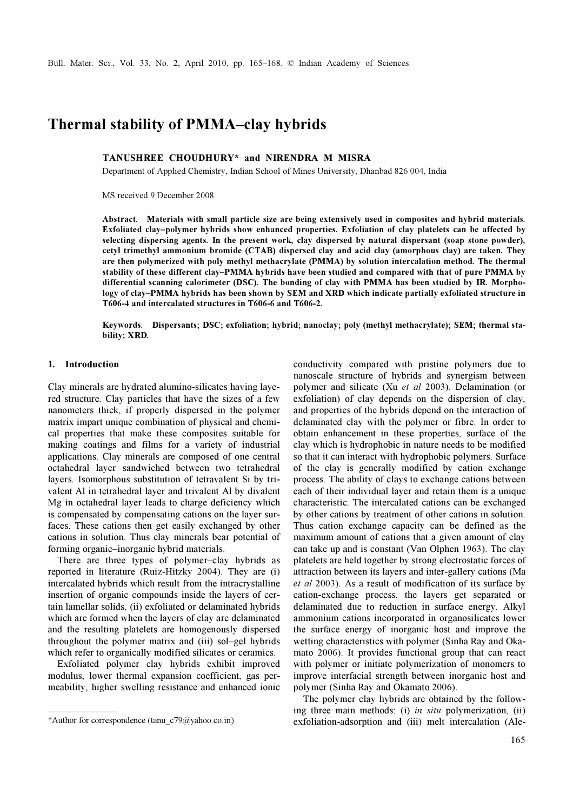# Thermal stability of PMMA–clay hybrids

# TANUSHREE CHOUDHURY\* and NIRENDRA M MISRA

Department of Applied Chemistry, Indian School of Mines University, Dhanbad 826 004, India

MS received 9 December 2008

Abstract. Materials with small particle size are being extensively used in composites and hybrid materials. Exfoliated clay–polymer hybrids show enhanced properties. Exfoliation of clay platelets can be affected by selecting dispersing agents. In the present work, clay dispersed by natural dispersant (soap stone powder), cetyl trimethyl ammonium bromide (CTAB) dispersed clay and acid clay (amorphous clay) are taken. They are then polymerized with poly methyl methacrylate (PMMA) by solution intercalation method. The thermal stability of these different clay–PMMA hybrids have been studied and compared with that of pure PMMA by differential scanning calorimeter (DSC). The bonding of clay with PMMA has been studied by IR. Morphology of clay–PMMA hybrids has been shown by SEM and XRD which indicate partially exfoliated structure in T606-4 and intercalated structures in T606-6 and T606-2.

Keywords. Dispersants; DSC; exfoliation; hybrid; nanoclay; poly (methyl methacrylate); SEM; thermal stability; XRD.

# 1. Introduction

Clay minerals are hydrated alumino-silicates having layered structure. Clay particles that have the sizes of a few nanometers thick, if properly dispersed in the polymer matrix impart unique combination of physical and chemical properties that make these composites suitable for making coatings and films for a variety of industrial applications. Clay minerals are composed of one central octahedral layer sandwiched between two tetrahedral layers. Isomorphous substitution of tetravalent Si by trivalent Al in tetrahedral layer and trivalent Al by divalent Mg in octahedral layer leads to charge deficiency which is compensated by compensating cations on the layer surfaces. These cations then get easily exchanged by other cations in solution. Thus clay minerals bear potential of forming organic–inorganic hybrid materials.

 There are three types of polymer–clay hybrids as reported in literature (Ruiz-Hitzky 2004). They are (i) intercalated hybrids which result from the intracrystalline insertion of organic compounds inside the layers of certain lamellar solids, (ii) exfoliated or delaminated hybrids which are formed when the layers of clay are delaminated and the resulting platelets are homogenously dispersed throughout the polymer matrix and (iii) sol–gel hybrids which refer to organically modified silicates or ceramics.

 Exfoliated polymer clay hybrids exhibit improved modulus, lower thermal expansion coefficient, gas permeability, higher swelling resistance and enhanced ionic

conductivity compared with pristine polymers due to nanoscale structure of hybrids and synergism between polymer and silicate (Xu et al 2003). Delamination (or exfoliation) of clay depends on the dispersion of clay, and properties of the hybrids depend on the interaction of delaminated clay with the polymer or fibre. In order to obtain enhancement in these properties, surface of the clay which is hydrophobic in nature needs to be modified so that it can interact with hydrophobic polymers. Surface of the clay is generally modified by cation exchange process. The ability of clays to exchange cations between each of their individual layer and retain them is a unique characteristic. The intercalated cations can be exchanged by other cations by treatment of other cations in solution. Thus cation exchange capacity can be defined as the maximum amount of cations that a given amount of clay can take up and is constant (Van Olphen 1963). The clay platelets are held together by strong electrostatic forces of attraction between its layers and inter-gallery cations (Ma et al 2003). As a result of modification of its surface by cation-exchange process, the layers get separated or delaminated due to reduction in surface energy. Alkyl ammonium cations incorporated in organosilicates lower the surface energy of inorganic host and improve the wetting characteristics with polymer (Sinha Ray and Okamato 2006). It provides functional group that can react with polymer or initiate polymerization of monomers to improve interfacial strength between inorganic host and polymer (Sinha Ray and Okamato 2006).

 The polymer clay hybrids are obtained by the following three main methods: (i) in situ polymerization, (ii) \*Author for correspondence (tanu\_c79@yahoo.co.in) exfoliation-adsorption and (iii) melt intercalation (Ale-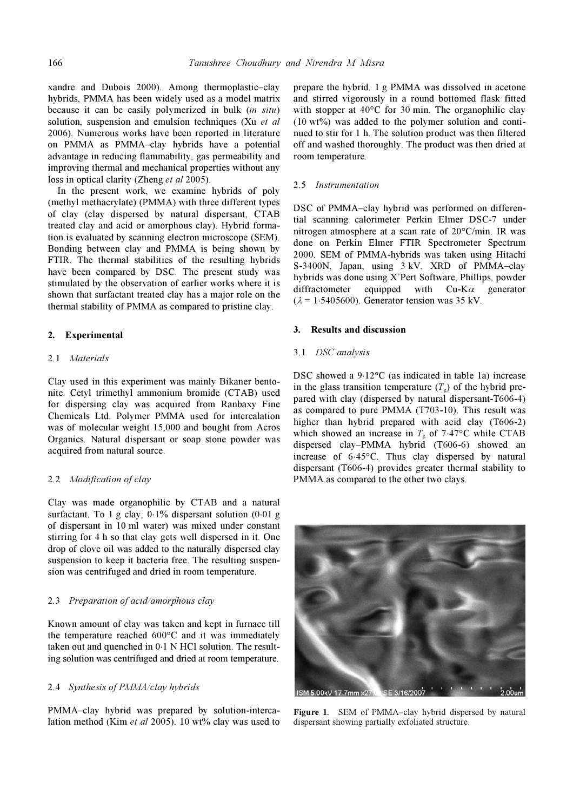xandre and Dubois 2000). Among thermoplastic–clay hybrids, PMMA has been widely used as a model matrix because it can be easily polymerized in bulk (in situ) solution, suspension and emulsion techniques (Xu et al. 2006). Numerous works have been reported in literature on PMMA as PMMA–clay hybrids have a potential advantage in reducing flammability, gas permeability and improving thermal and mechanical properties without any loss in optical clarity (Zheng et al 2005).

 In the present work, we examine hybrids of poly (methyl methacrylate) (PMMA) with three different types of clay (clay dispersed by natural dispersant, CTAB treated clay and acid or amorphous clay). Hybrid formation is evaluated by scanning electron microscope (SEM). Bonding between clay and PMMA is being shown by FTIR. The thermal stabilities of the resulting hybrids have been compared by DSC. The present study was stimulated by the observation of earlier works where it is shown that surfactant treated clay has a major role on the thermal stability of PMMA as compared to pristine clay.

### 2. Experimental

#### 2.1 Materials

Clay used in this experiment was mainly Bikaner bentonite. Cetyl trimethyl ammonium bromide (CTAB) used for dispersing clay was acquired from Ranbaxy Fine Chemicals Ltd. Polymer PMMA used for intercalation was of molecular weight 15,000 and bought from Acros Organics. Natural dispersant or soap stone powder was acquired from natural source.

## 2.2 Modification of clay

Clay was made organophilic by CTAB and a natural surfactant. To 1 g clay, 0⋅1% dispersant solution (0⋅01 g of dispersant in 10 ml water) was mixed under constant stirring for 4 h so that clay gets well dispersed in it. One drop of clove oil was added to the naturally dispersed clay suspension to keep it bacteria free. The resulting suspension was centrifuged and dried in room temperature.

### 2.3 Preparation of acid/amorphous clay

Known amount of clay was taken and kept in furnace till the temperature reached 600°C and it was immediately taken out and quenched in 0⋅1 N HCl solution. The resulting solution was centrifuged and dried at room temperature.

## 2.4 Synthesis of PMMA/clay hybrids

PMMA–clay hybrid was prepared by solution-intercalation method (Kim et al 2005). 10 wt% clay was used to prepare the hybrid. 1 g PMMA was dissolved in acetone and stirred vigorously in a round bottomed flask fitted with stopper at 40°C for 30 min. The organophilic clay  $(10 \text{ wt\%})$  was added to the polymer solution and continued to stir for 1 h. The solution product was then filtered off and washed thoroughly. The product was then dried at room temperature.

## 2.5 Instrumentation

DSC of PMMA–clay hybrid was performed on differential scanning calorimeter Perkin Elmer DSC-7 under nitrogen atmosphere at a scan rate of 20°C/min. IR was done on Perkin Elmer FTIR Spectrometer Spectrum 2000. SEM of PMMA-hybrids was taken using Hitachi S-3400N, Japan, using 3 kV. XRD of PMMA–clay hybrids was done using X'Pert Software, Phillips, powder diffractometer equipped with  $Cu-K\alpha$  generator  $(\lambda = 1.5405600)$ . Generator tension was 35 kV.

#### 3. Results and discussion

#### 3.1 DSC analysis

DSC showed a 9⋅12°C (as indicated in table 1a) increase in the glass transition temperature  $(T_{\rm g})$  of the hybrid prepared with clay (dispersed by natural dispersant-T606-4) as compared to pure PMMA (T703-10). This result was higher than hybrid prepared with acid clay (T606-2) which showed an increase in  $T<sub>g</sub>$  of 7⋅47°C while CTAB dispersed clay–PMMA hybrid (T606-6) showed an increase of 6⋅45°C. Thus clay dispersed by natural dispersant (T606-4) provides greater thermal stability to PMMA as compared to the other two clays.



Figure 1. SEM of PMMA–clay hybrid dispersed by natural dispersant showing partially exfoliated structure.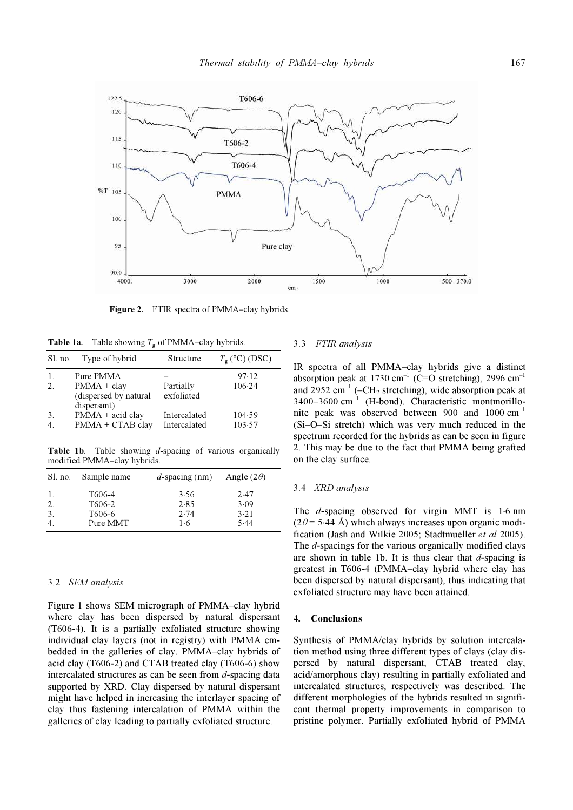

Figure 2. FTIR spectra of PMMA–clay hybrids.

**Table 1a.** Table showing  $T_g$  of PMMA–clay hybrids.

| Sl. no. | Type of hybrid                       | Structure                    | $T_{\rm g}$ (°C) (DSC) |
|---------|--------------------------------------|------------------------------|------------------------|
| $2^{1}$ | Pure PMMA<br>$PMMA + clay$           | Partially                    | 97.12<br>106.24        |
|         | (dispersed by natural<br>dispersant) | exfoliated                   |                        |
| 3       | PMMA + acid clay<br>PMMA + CTAB clay | Intercalated<br>Intercalated | 104.59<br>103.57       |

Table 1b. Table showing *d*-spacing of various organically modified PMMA–clay hybrids.

| Sl. no. | Sample name                             | $d$ -spacing (nm)    | Angle $(2\theta)$    |  |
|---------|-----------------------------------------|----------------------|----------------------|--|
| 2.<br>3 | T606-4<br>T <sub>606</sub> -2<br>T606-6 | 3.56<br>2.85<br>2.74 | 2.47<br>3.09<br>3.21 |  |
|         | Pure MMT                                | 1·6                  | 5.44                 |  |

#### 3.2 SEM analysis

Figure 1 shows SEM micrograph of PMMA–clay hybrid where clay has been dispersed by natural dispersant (T606-4). It is a partially exfoliated structure showing individual clay layers (not in registry) with PMMA embedded in the galleries of clay. PMMA–clay hybrids of acid clay (T606-2) and CTAB treated clay (T606-6) show intercalated structures as can be seen from  $d$ -spacing data supported by XRD. Clay dispersed by natural dispersant might have helped in increasing the interlayer spacing of clay thus fastening intercalation of PMMA within the galleries of clay leading to partially exfoliated structure.

# 3.3 FTIR analysis

IR spectra of all PMMA–clay hybrids give a distinct absorption peak at 1730 cm<sup>-1</sup> (C=O stretching), 2996 cm<sup>-1</sup> and 2952 cm<sup>-1</sup> (-CH<sub>2</sub> stretching), wide absorption peak at  $3400-3600$  cm<sup>-1</sup> (H-bond). Characteristic montmorillonite peak was observed between 900 and  $1000 \text{ cm}^{-1}$ (Si–O–Si stretch) which was very much reduced in the spectrum recorded for the hybrids as can be seen in figure 2. This may be due to the fact that PMMA being grafted on the clay surface.

## 3.4 XRD analysis

The d-spacing observed for virgin MMT is 1⋅6 nm  $(2\theta = 5.44 \text{ Å})$  which always increases upon organic modification (Jash and Wilkie 2005; Stadtmueller et al 2005). The *d*-spacings for the various organically modified clays are shown in table 1b. It is thus clear that  $d$ -spacing is greatest in T606-4 (PMMA–clay hybrid where clay has been dispersed by natural dispersant), thus indicating that exfoliated structure may have been attained.

#### 4. Conclusions

Synthesis of PMMA/clay hybrids by solution intercalation method using three different types of clays (clay dispersed by natural dispersant, CTAB treated clay, acid/amorphous clay) resulting in partially exfoliated and intercalated structures, respectively was described. The different morphologies of the hybrids resulted in significant thermal property improvements in comparison to pristine polymer. Partially exfoliated hybrid of PMMA